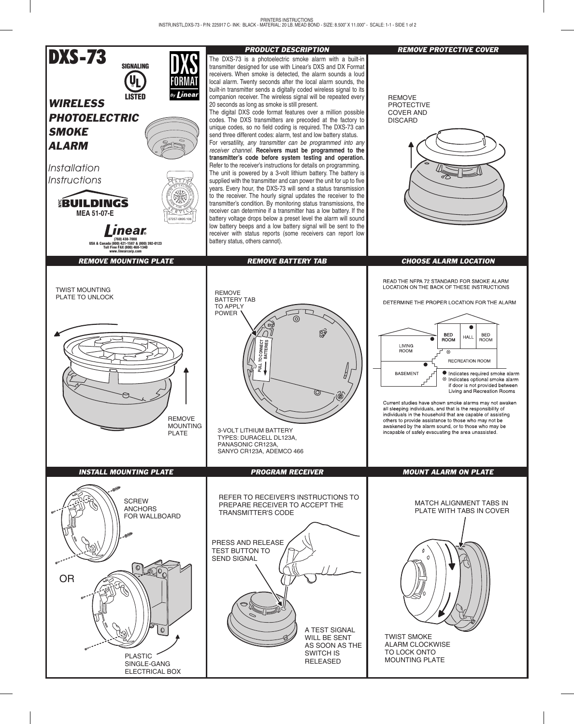